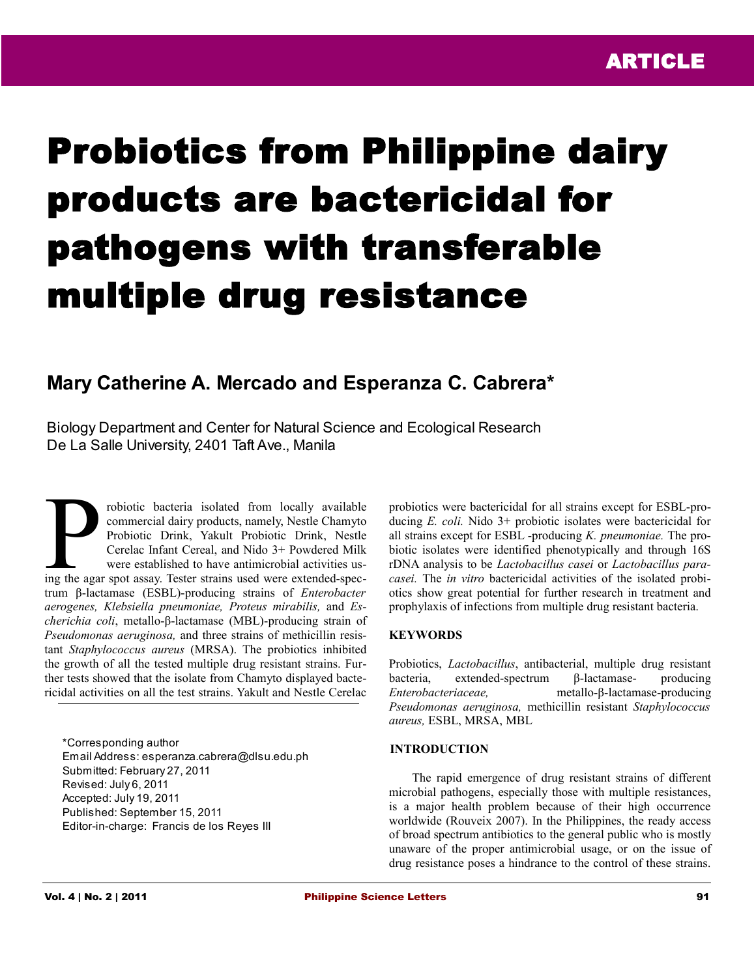# Probiotics from Philippine dairy products are bactericidal for pathogens with transferable multiple drug resistance

# **Mary Catherine A. Mercado and Esperanza C. Cabrera\***

Biology Department and Center for Natural Science and Ecological Research De La Salle University, 2401 Taft Ave., Manila

robiotic bacteria isolated from locally available commercial dairy products, namely, Nestle Chamyto Probiotic Drink, Yakult Probiotic Drink, Nestle Cerelac Infant Cereal, and Nido 3+ Powdered Milk were established to have antimicrobial activities us-Frobiotic bacteria isolated from locally available<br>commercial dairy products, namely, Nestle Chamyto<br>Probiotic Drink, Yakult Probiotic Drink, Nestle<br>Cerelac Infant Cereal, and Nido 3+ Powdered Milk<br>were established to have trum β-lactamase (ESBL)-producing strains of *Enterobacter aerogenes, Klebsiella pneumoniae, Proteus mirabilis,* and *Escherichia coli*, metallo-β-lactamase (MBL)-producing strain of *Pseudomonas aeruginosa,* and three strains of methicillin resistant *Staphylococcus aureus* (MRSA). The probiotics inhibited the growth of all the tested multiple drug resistant strains. Further tests showed that the isolate from Chamyto displayed bactericidal activities on all the test strains. Yakult and Nestle Cerelac

\*Corresponding author Email Address: esperanza.cabrera@dlsu.edu.ph Submitted: February 27, 2011 Revised: July 6, 2011 Accepted: July 19, 2011 Published: September 15, 2011 Editor-in-charge: Francis de los Reyes III

probiotics were bactericidal for all strains except for ESBL-producing *E. coli.* Nido 3+ probiotic isolates were bactericidal for all strains except for ESBL -producing *K. pneumoniae.* The probiotic isolates were identified phenotypically and through 16S rDNA analysis to be *Lactobacillus casei* or *Lactobacillus paracasei.* The *in vitro* bactericidal activities of the isolated probiotics show great potential for further research in treatment and prophylaxis of infections from multiple drug resistant bacteria.

#### **KEYWORDS**

Probiotics, *Lactobacillus*, antibacterial, multiple drug resistant bacteria, extended-spectrum β-lactamase- producing *Enterobacteriaceae,* metallo-β-lactamase-producing *Pseudomonas aeruginosa,* methicillin resistant *Staphylococcus aureus,* ESBL, MRSA, MBL

#### **INTRODUCTION**

The rapid emergence of drug resistant strains of different microbial pathogens, especially those with multiple resistances, is a major health problem because of their high occurrence worldwide (Rouveix 2007). In the Philippines, the ready access of broad spectrum antibiotics to the general public who is mostly unaware of the proper antimicrobial usage, or on the issue of drug resistance poses a hindrance to the control of these strains.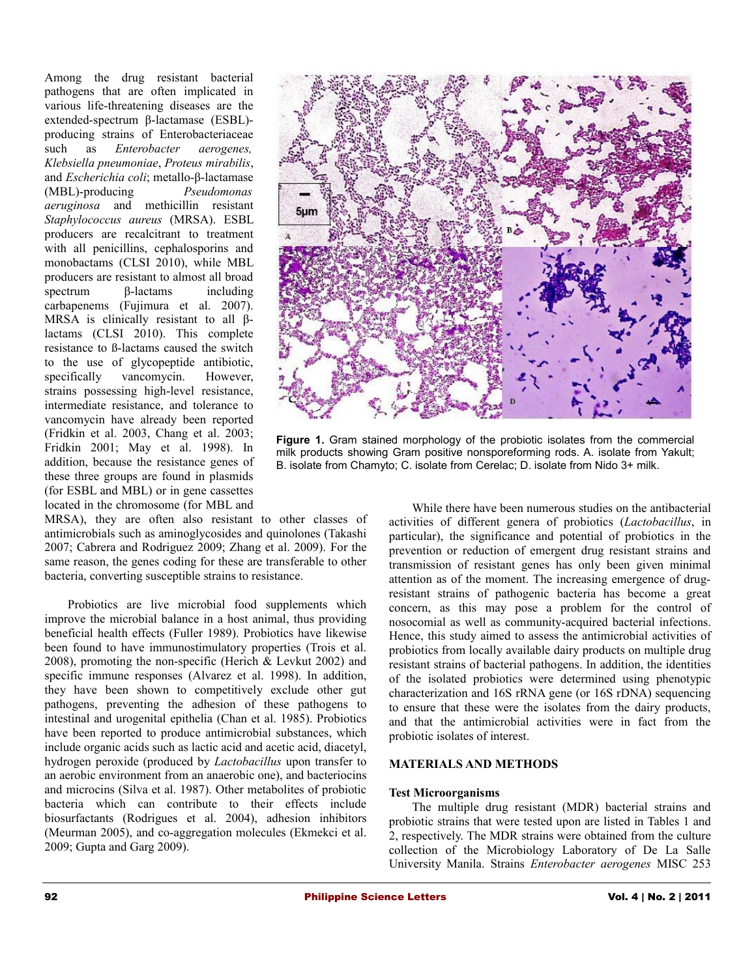Among the drug resistant bacterial pathogens that are often implicated in various life-threatening diseases are the extended-spectrum β-lactamase (ESBL) producing strains of Enterobacteriaceae such as *Enterobacter aerogenes, Klebsiella pneumoniae*, *Proteus mirabilis*, and *Escherichia coli*; metallo-β-lactamase (MBL)-producing *Pseudomonas aeruginosa* and methicillin resistant *Staphylococcus aureus* (MRSA). ESBL producers are recalcitrant to treatment with all penicillins, cephalosporins and monobactams (CLSI 2010), while MBL producers are resistant to almost all broad spectrum β-lactams including carbapenems (Fujimura et al. 2007). MRSA is clinically resistant to all  $\beta$ lactams (CLSI 2010). This complete resistance to ß-lactams caused the switch to the use of glycopeptide antibiotic, specifically vancomycin. However, strains possessing high-level resistance, intermediate resistance, and tolerance to vancomycin have already been reported (Fridkin et al. 2003, Chang et al. 2003; Fridkin 2001; May et al. 1998). In addition, because the resistance genes of these three groups are found in plasmids (for ESBL and MBL) or in gene cassettes located in the chromosome (for MBL and

MRSA), they are often also resistant to other classes of antimicrobials such as aminoglycosides and quinolones (Takashi 2007; Cabrera and Rodriguez 2009; Zhang et al. 2009). For the same reason, the genes coding for these are transferable to other bacteria, converting susceptible strains to resistance.

Probiotics are live microbial food supplements which improve the microbial balance in a host animal, thus providing beneficial health effects (Fuller 1989). Probiotics have likewise been found to have immunostimulatory properties (Trois et al. 2008), promoting the non-specific (Herich & Levkut 2002) and specific immune responses (Alvarez et al. 1998). In addition, they have been shown to competitively exclude other gut pathogens, preventing the adhesion of these pathogens to intestinal and urogenital epithelia (Chan et al. 1985). Probiotics have been reported to produce antimicrobial substances, which include organic acids such as lactic acid and acetic acid, diacetyl, hydrogen peroxide (produced by *Lactobacillus* upon transfer to an aerobic environment from an anaerobic one), and bacteriocins and microcins (Silva et al. 1987). Other metabolites of probiotic bacteria which can contribute to their effects include biosurfactants (Rodrigues et al. 2004), adhesion inhibitors (Meurman 2005), and co-aggregation molecules (Ekmekci et al. 2009; Gupta and Garg 2009).



**Figure 1.** Gram stained morphology of the probiotic isolates from the commercial milk products showing Gram positive nonsporeforming rods. A. isolate from Yakult; B. isolate from Chamyto; C. isolate from Cerelac; D. isolate from Nido 3+ milk.

While there have been numerous studies on the antibacterial activities of different genera of probiotics (*Lactobacillus*, in particular), the significance and potential of probiotics in the prevention or reduction of emergent drug resistant strains and transmission of resistant genes has only been given minimal attention as of the moment. The increasing emergence of drugresistant strains of pathogenic bacteria has become a great concern, as this may pose a problem for the control of nosocomial as well as community-acquired bacterial infections. Hence, this study aimed to assess the antimicrobial activities of probiotics from locally available dairy products on multiple drug resistant strains of bacterial pathogens. In addition, the identities of the isolated probiotics were determined using phenotypic characterization and 16S rRNA gene (or 16S rDNA) sequencing to ensure that these were the isolates from the dairy products, and that the antimicrobial activities were in fact from the probiotic isolates of interest.

#### **MATERIALS AND METHODS**

#### **Test Microorganisms**

The multiple drug resistant (MDR) bacterial strains and probiotic strains that were tested upon are listed in Tables 1 and 2, respectively. The MDR strains were obtained from the culture collection of the Microbiology Laboratory of De La Salle University Manila. Strains *Enterobacter aerogenes* MISC 253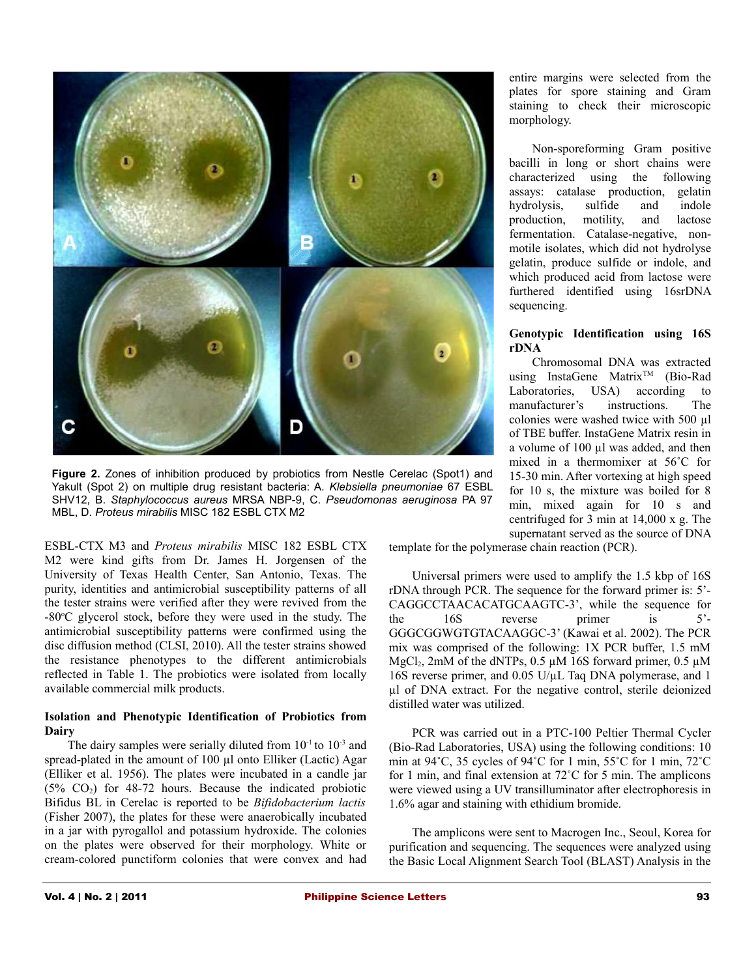

**Figure 2.** Zones of inhibition produced by probiotics from Nestle Cerelac (Spot1) and Yakult (Spot 2) on multiple drug resistant bacteria: A. *Klebsiella pneumoniae* 67 ESBL SHV12, B. *Staphylococcus aureus* MRSA NBP-9, C. *Pseudomonas aeruginosa* PA 97 MBL, D. *Proteus mirabilis* MISC 182 ESBL CTX M2

ESBL-CTX M3 and *Proteus mirabilis* MISC 182 ESBL CTX M2 were kind gifts from Dr. James H. Jorgensen of the University of Texas Health Center, San Antonio, Texas. The purity, identities and antimicrobial susceptibility patterns of all the tester strains were verified after they were revived from the  $-80^{\circ}$ C glycerol stock, before they were used in the study. The antimicrobial susceptibility patterns were confirmed using the disc diffusion method (CLSI, 2010). All the tester strains showed the resistance phenotypes to the different antimicrobials reflected in Table 1. The probiotics were isolated from locally available commercial milk products.

### **Isolation and Phenotypic Identification of Probiotics from Dairy**

The dairy samples were serially diluted from  $10^{-1}$  to  $10^{-3}$  and spread-plated in the amount of 100 µl onto Elliker (Lactic) Agar (Elliker et al. 1956). The plates were incubated in a candle jar  $(5\%$  CO<sub>2</sub>) for 48-72 hours. Because the indicated probiotic Bifidus BL in Cerelac is reported to be *Bifidobacterium lactis* (Fisher 2007), the plates for these were anaerobically incubated in a jar with pyrogallol and potassium hydroxide. The colonies on the plates were observed for their morphology. White or cream-colored punctiform colonies that were convex and had

entire margins were selected from the plates for spore staining and Gram staining to check their microscopic morphology.

Non-sporeforming Gram positive bacilli in long or short chains were characterized using the following assays: catalase production, gelatin hydrolysis, sulfide and indole production, motility, and lactose fermentation. Catalase-negative, nonmotile isolates, which did not hydrolyse gelatin, produce sulfide or indole, and which produced acid from lactose were furthered identified using 16srDNA sequencing.

# **Genotypic Identification using 16S rDNA**

Chromosomal DNA was extracted using InstaGene Matrix<sup>™</sup> (Bio-Rad Laboratories, USA) according to manufacturer's instructions. The colonies were washed twice with 500 µl of TBE buffer. InstaGene Matrix resin in a volume of 100 µl was added, and then mixed in a thermomixer at 56˚C for 15-30 min. After vortexing at high speed for 10 s, the mixture was boiled for 8 min, mixed again for 10 s and centrifuged for 3 min at 14,000 x g. The supernatant served as the source of DNA

template for the polymerase chain reaction (PCR).

Universal primers were used to amplify the 1.5 kbp of 16S rDNA through PCR. The sequence for the forward primer is: 5'- CAGGCCTAACACATGCAAGTC-3', while the sequence for the 16S reverse primer is 5'- GGGCGGWGTGTACAAGGC-3' (Kawai et al. 2002). The PCR mix was comprised of the following: 1X PCR buffer, 1.5 mM MgCl<sub>2</sub>, 2mM of the dNTPs, 0.5  $\mu$ M 16S forward primer, 0.5  $\mu$ M 16S reverse primer, and 0.05 U/µL Taq DNA polymerase, and 1 µl of DNA extract. For the negative control, sterile deionized distilled water was utilized.

PCR was carried out in a PTC-100 Peltier Thermal Cycler (Bio-Rad Laboratories, USA) using the following conditions: 10 min at 94˚C, 35 cycles of 94˚C for 1 min, 55˚C for 1 min, 72˚C for 1 min, and final extension at 72˚C for 5 min. The amplicons were viewed using a UV transilluminator after electrophoresis in 1.6% agar and staining with ethidium bromide.

The amplicons were sent to Macrogen Inc., Seoul, Korea for purification and sequencing. The sequences were analyzed using the Basic Local Alignment Search Tool (BLAST) Analysis in the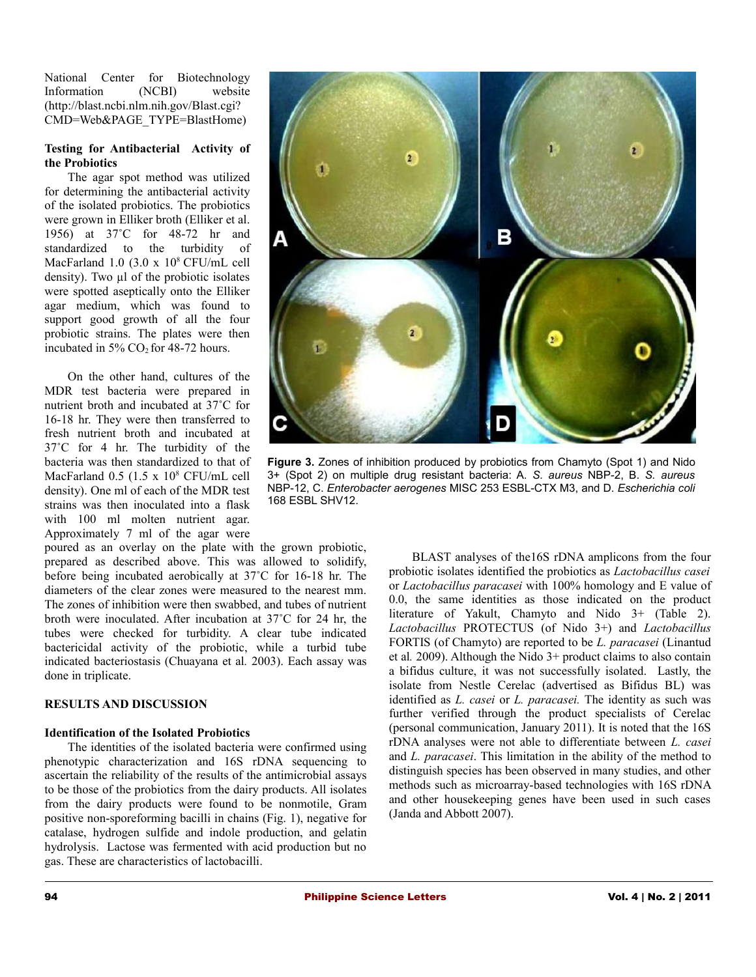National Center for Biotechnology Information (NCBI) website (http://blast.ncbi.nlm.nih.gov/Blast.cgi? CMD=Web&PAGE\_TYPE=BlastHome)

## **Testing for Antibacterial Activity of the Probiotics**

The agar spot method was utilized for determining the antibacterial activity of the isolated probiotics. The probiotics were grown in Elliker broth (Elliker et al. 1956) at 37˚C for 48-72 hr and standardized to the turbidity of MacFarland 1.0  $(3.0 \times 10^8 \text{ CFU/mL cell})$ density). Two  $\mu$ l of the probiotic isolates were spotted aseptically onto the Elliker agar medium, which was found to support good growth of all the four probiotic strains. The plates were then incubated in  $5\%$  CO<sub>2</sub> for 48-72 hours.

On the other hand, cultures of the MDR test bacteria were prepared in nutrient broth and incubated at 37˚C for 16-18 hr. They were then transferred to fresh nutrient broth and incubated at 37˚C for 4 hr. The turbidity of the bacteria was then standardized to that of MacFarland 0.5 (1.5 x 10<sup>8</sup> CFU/mL cell density). One ml of each of the MDR test strains was then inoculated into a flask with 100 ml molten nutrient agar. Approximately 7 ml of the agar were

poured as an overlay on the plate with the grown probiotic, prepared as described above. This was allowed to solidify, before being incubated aerobically at 37˚C for 16-18 hr. The diameters of the clear zones were measured to the nearest mm. The zones of inhibition were then swabbed, and tubes of nutrient broth were inoculated. After incubation at 37˚C for 24 hr, the tubes were checked for turbidity. A clear tube indicated bactericidal activity of the probiotic, while a turbid tube indicated bacteriostasis (Chuayana et al*.* 2003). Each assay was done in triplicate.

# **RESULTS AND DISCUSSION**

# **Identification of the Isolated Probiotics**

The identities of the isolated bacteria were confirmed using phenotypic characterization and 16S rDNA sequencing to ascertain the reliability of the results of the antimicrobial assays to be those of the probiotics from the dairy products. All isolates from the dairy products were found to be nonmotile, Gram positive non-sporeforming bacilli in chains (Fig. 1), negative for catalase, hydrogen sulfide and indole production, and gelatin hydrolysis. Lactose was fermented with acid production but no gas. These are characteristics of lactobacilli.



**Figure 3.** Zones of inhibition produced by probiotics from Chamyto (Spot 1) and Nido 3+ (Spot 2) on multiple drug resistant bacteria: A. *S. aureus* NBP-2, B. *S. aureus* NBP-12, C. *Enterobacter aerogenes* MISC 253 ESBL-CTX M3, and D. *Escherichia coli* 168 ESBL SHV12.

BLAST analyses of the16S rDNA amplicons from the four probiotic isolates identified the probiotics as *Lactobacillus casei* or *Lactobacillus paracasei* with 100% homology and E value of 0.0, the same identities as those indicated on the product literature of Yakult, Chamyto and Nido 3+ (Table 2). *Lactobacillus* PROTECTUS (of Nido 3+) and *Lactobacillus* FORTIS (of Chamyto) are reported to be *L. paracasei* (Linantud et al*.* 2009). Although the Nido 3+ product claims to also contain a bifidus culture, it was not successfully isolated. Lastly, the isolate from Nestle Cerelac (advertised as Bifidus BL) was identified as *L. casei* or *L. paracasei.* The identity as such was further verified through the product specialists of Cerelac (personal communication, January 2011). It is noted that the 16S rDNA analyses were not able to differentiate between *L. casei* and *L. paracasei*. This limitation in the ability of the method to distinguish species has been observed in many studies, and other methods such as microarray-based technologies with 16S rDNA and other housekeeping genes have been used in such cases (Janda and Abbott 2007).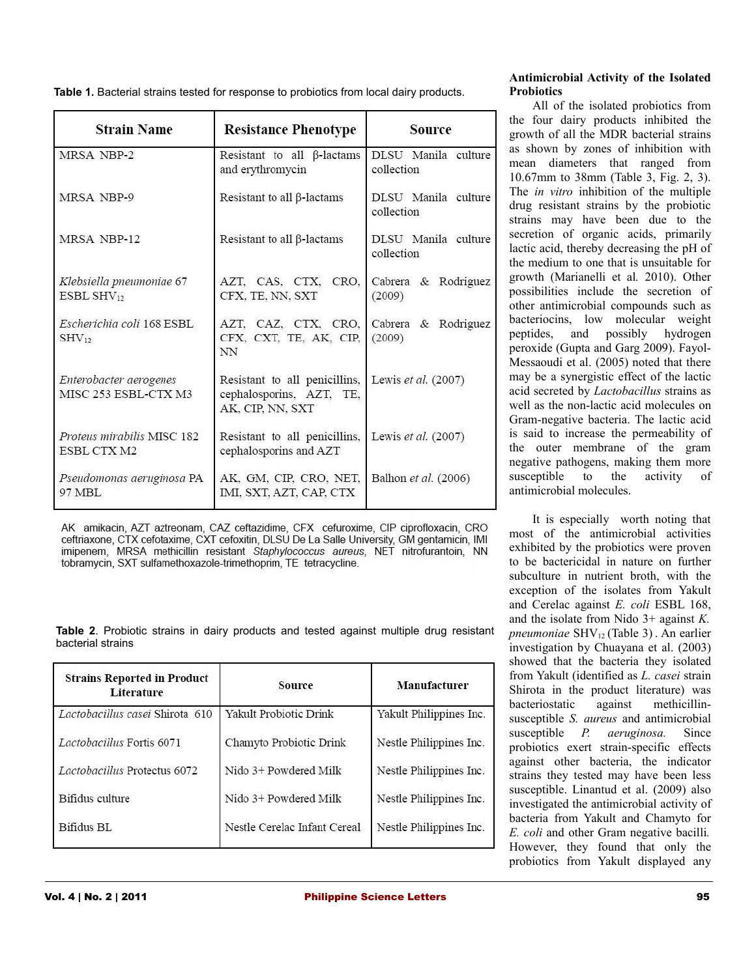**Table 1.** Bacterial strains tested for response to probiotics from local dairy products.

| <b>Strain Name</b>                             | <b>Resistance Phenotype</b>                                                                       | Source                            |  |
|------------------------------------------------|---------------------------------------------------------------------------------------------------|-----------------------------------|--|
| MRSA NBP-2                                     | Resistant to all $\beta$ -lactams<br>and erythromycin                                             | DLSU Manila culture<br>collection |  |
| MRSA NBP-9                                     | Resistant to all $\beta$ -lactams                                                                 | DLSU Manila culture<br>collection |  |
| MRSA NBP-12                                    | Resistant to all $\beta$ -lactams                                                                 | DLSU Manila culture<br>collection |  |
| Klebsiella pneumoniae 67<br>$ESBL$ $SHV_{12}$  | AZT, CAS, CTX, CRO,<br>CFX, TE, NN, SXT                                                           | Cabrera & Rodriguez<br>(2009)     |  |
| Escherichia coli 168 ESBL<br>$SHV_{12}$        | AZT, CAZ, CTX, CRO,<br>CFX, CXT, TE, AK, CIP,<br>NN                                               | Cabrera & Rodriguez<br>(2009)     |  |
| Enterobacter aerogenes<br>MISC 253 ESBL-CTX M3 | Resistant to all penicillins, Lewis et al. (2007)<br>cephalosporins, AZT, TE,<br>AK, CIP, NN, SXT |                                   |  |
| Proteus mirabilis MISC 182<br>ESBL CTX M2      | Resistant to all penicillins, Lewis et al. (2007)<br>cephalosporins and AZT                       |                                   |  |
| Pseudomonas aeruginosa PA<br>97 MBI.           | AK, GM, CIP, CRO, NET,<br>IMI, SXT, AZT, CAP, CTX                                                 | Balhon et al. (2006)              |  |

AK amikacin, AZT aztreonam, CAZ ceftazidime, CFX cefuroxime, CIP ciprofloxacin, CRO ceftriaxone, CTX cefotaxime, CXT cefoxitin, DLSU De La Salle University, GM gentamicin, IMI imipenem, MRSA methicillin resistant Staphylococcus aureus, NET nitrofurantoin, NN tobramycin, SXT sulfamethoxazole-trimethoprim, TE tetracycline.

**Table 2**. Probiotic strains in dairy products and tested against multiple drug resistant bacterial strains

| <b>Strains Reported in Product</b><br>Literature | Source                        | Manufacturer            |  |
|--------------------------------------------------|-------------------------------|-------------------------|--|
| Lactobacillus casei Shirota 610                  | <b>Yakult Probiotic Drink</b> | Yakult Philippines Inc. |  |
| Lactobacillus Fortis 6071                        | Chamyto Probiotic Drink       | Nestle Philippines Inc. |  |
| Lactobacillus Protectus 6072                     | Nido 3+ Powdered Milk         | Nestle Philippines Inc. |  |
| Bifidus culture                                  | Nido 3+ Powdered Milk         | Nestle Philippines Inc. |  |
| Bifidus BL                                       | Nestle Cerelac Infant Cereal  | Nestle Philippines Inc. |  |

# **Antimicrobial Activity of the Isolated Probiotics**

All of the isolated probiotics from the four dairy products inhibited the growth of all the MDR bacterial strains as shown by zones of inhibition with mean diameters that ranged from 10.67mm to 38mm (Table 3, Fig. 2, 3). The *in vitro* inhibition of the multiple drug resistant strains by the probiotic strains may have been due to the secretion of organic acids, primarily lactic acid, thereby decreasing the pH of the medium to one that is unsuitable for growth (Marianelli et al*.* 2010). Other possibilities include the secretion of other antimicrobial compounds such as bacteriocins, low molecular weight peptides, and possibly hydrogen peroxide (Gupta and Garg 2009). Fayol-Messaoudi et al. (2005) noted that there may be a synergistic effect of the lactic acid secreted by *Lactobacillus* strains as well as the non-lactic acid molecules on Gram-negative bacteria. The lactic acid is said to increase the permeability of the outer membrane of the gram negative pathogens, making them more susceptible to the activity of antimicrobial molecules.

It is especially worth noting that most of the antimicrobial activities exhibited by the probiotics were proven to be bactericidal in nature on further subculture in nutrient broth, with the exception of the isolates from Yakult and Cerelac against *E. coli* ESBL 168, and the isolate from Nido 3+ against *K. pneumoniae* SHV<sub>12</sub> (Table 3). An earlier investigation by Chuayana et al. (2003) showed that the bacteria they isolated from Yakult (identified as *L. casei* strain Shirota in the product literature) was bacteriostatic against methicillinsusceptible *S. aureus* and antimicrobial susceptible *P. aeruginosa.* Since probiotics exert strain-specific effects against other bacteria, the indicator strains they tested may have been less susceptible. Linantud et al. (2009) also investigated the antimicrobial activity of bacteria from Yakult and Chamyto for *E. coli* and other Gram negative bacilli*.* However, they found that only the probiotics from Yakult displayed any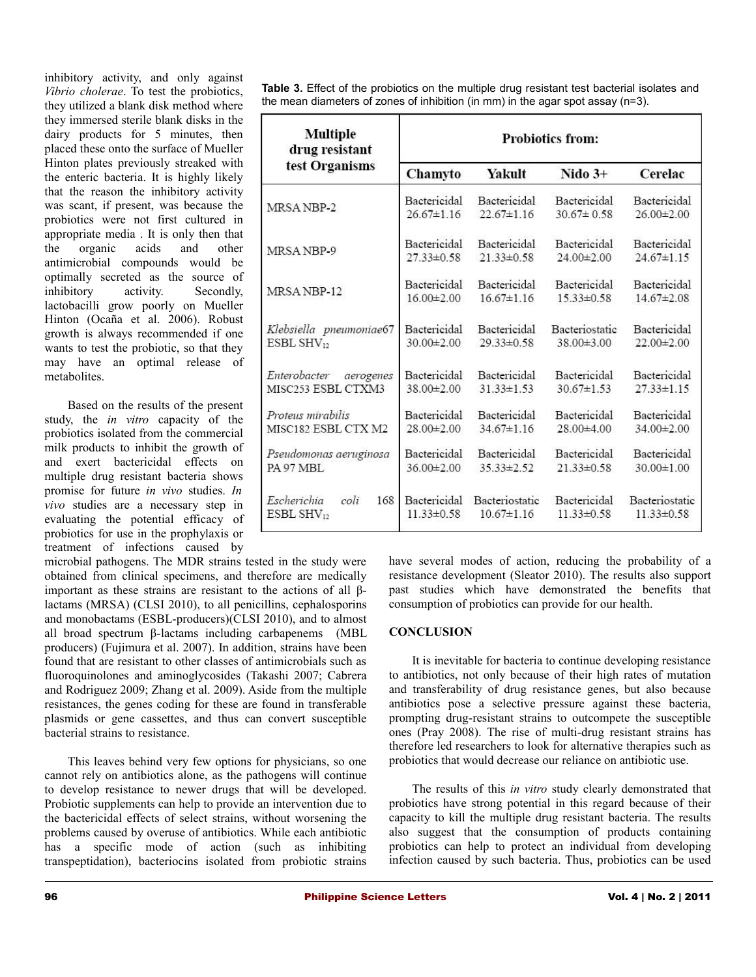inhibitory activity, and only against *Vibrio cholerae*. To test the probiotics, they utilized a blank disk method where they immersed sterile blank disks in the dairy products for 5 minutes, then placed these onto the surface of Mueller Hinton plates previously streaked with the enteric bacteria. It is highly likely that the reason the inhibitory activity was scant, if present, was because the probiotics were not first cultured in appropriate media . It is only then that the organic acids and other antimicrobial compounds would be optimally secreted as the source of inhibitory activity. Secondly, lactobacilli grow poorly on Mueller Hinton (Ocaña et al. 2006). Robust growth is always recommended if one wants to test the probiotic, so that they may have an optimal release of metabolites.

Based on the results of the present study, the *in vitro* capacity of the probiotics isolated from the commercial milk products to inhibit the growth of and exert bactericidal effects on multiple drug resistant bacteria shows promise for future *in vivo* studies. *In vivo* studies are a necessary step in evaluating the potential efficacy of probiotics for use in the prophylaxis or treatment of infections caused by

microbial pathogens. The MDR strains tested in the study were obtained from clinical specimens, and therefore are medically important as these strains are resistant to the actions of all βlactams (MRSA) (CLSI 2010), to all penicillins, cephalosporins and monobactams (ESBL-producers)(CLSI 2010), and to almost all broad spectrum β-lactams including carbapenems (MBL producers) (Fujimura et al. 2007). In addition, strains have been found that are resistant to other classes of antimicrobials such as fluoroquinolones and aminoglycosides (Takashi 2007; Cabrera and Rodriguez 2009; Zhang et al. 2009). Aside from the multiple resistances, the genes coding for these are found in transferable plasmids or gene cassettes, and thus can convert susceptible bacterial strains to resistance.

This leaves behind very few options for physicians, so one cannot rely on antibiotics alone, as the pathogens will continue to develop resistance to newer drugs that will be developed. Probiotic supplements can help to provide an intervention due to the bactericidal effects of select strains, without worsening the problems caused by overuse of antibiotics. While each antibiotic has a specific mode of action (such as inhibiting transpeptidation), bacteriocins isolated from probiotic strains

**Table 3.** Effect of the probiotics on the multiple drug resistant test bacterial isolates and the mean diameters of zones of inhibition (in mm) in the agar spot assay (n=3).

| <b>Multiple</b><br>drug resistant<br>test Organisms | <b>Probiotics from:</b>          |                                    |                                  |                                    |
|-----------------------------------------------------|----------------------------------|------------------------------------|----------------------------------|------------------------------------|
|                                                     | Chamyto                          | Yakult                             | $Nido3+$                         | Cerelac                            |
| MRSA NBP-2                                          | Bactericidal                     | Bactericidal                       | Bactericidal                     | Bactericidal                       |
|                                                     | $26.67 \pm 1.16$                 | $22.67 \pm 1.16$                   | $30.67 \pm 0.58$                 | 26.00±2.00                         |
| MRSANBP-9                                           | Bactericidal                     | Bactericidal                       | Bactericidal                     | Bactericidal                       |
|                                                     | $27.33 \pm 0.58$                 | $21.33\pm0.58$                     | $24.00 \pm 2.00$                 | $24.67 \pm 1.15$                   |
| MRSA NBP-12                                         | Bactericidal                     | Bactericidal                       | Bactericidal                     | Bactericidal                       |
|                                                     | $16.00 \pm 2.00$                 | $16.67 \pm 1.16$                   | $15.33 \pm 0.58$                 | $14.67 \pm 2.08$                   |
| Klebsiella pneumoniae67                             | Bactericidal                     | Bactericidal                       | Bacteriostatic                   | Bactericidal                       |
| $ESBL$ $SHV_{12}$                                   | $30.00 \pm 2.00$                 | $29.33 \pm 0.58$                   | $38.00 \pm 3.00$                 | $22.00 \pm 2.00$                   |
| Enterobacter aerogenes                              | Bactericidal                     | Bactericidal                       | Bactericidal                     | Bactericidal                       |
| MISC <sub>253</sub> ESBL CTXM3                      | $38.00 \pm 2.00$                 | $31.33\pm1.53$                     | $30.67 \pm 1.53$                 | $27.33\pm1.15$                     |
| Proteus mirabilis                                   | Bactericidal                     | Bactericidal                       | Bactericidal                     | Bactericidal                       |
| MISC182 ESBL CTX M2                                 | $28.00 \pm 2.00$                 | $34.67 \pm 1.16$                   | 28.00±4.00                       | $34.00 \pm 2.00$                   |
| Pseudomonas aeruginosa                              | Bactericidal                     | Bactericidal                       | Bactericidal                     | Bactericidal                       |
| PA 97 MBL                                           | $36.00 \pm 2.00$                 | $35.33 \pm 2.52$                   | $21.33 \pm 0.58$                 | $30.00 \pm 1.00$                   |
| Escherichia<br>coli<br>168<br>ESBL SH $V_{12}$      | Bactericidal<br>$11.33 \pm 0.58$ | Bacteriostatic<br>$10.67 \pm 1.16$ | Bactericidal<br>$11.33 \pm 0.58$ | Bacteriostatic<br>$11.33 \pm 0.58$ |

have several modes of action, reducing the probability of a resistance development (Sleator 2010). The results also support past studies which have demonstrated the benefits that consumption of probiotics can provide for our health.

# **CONCLUSION**

It is inevitable for bacteria to continue developing resistance to antibiotics, not only because of their high rates of mutation and transferability of drug resistance genes, but also because antibiotics pose a selective pressure against these bacteria, prompting drug-resistant strains to outcompete the susceptible ones (Pray 2008). The rise of multi-drug resistant strains has therefore led researchers to look for alternative therapies such as probiotics that would decrease our reliance on antibiotic use.

The results of this *in vitro* study clearly demonstrated that probiotics have strong potential in this regard because of their capacity to kill the multiple drug resistant bacteria. The results also suggest that the consumption of products containing probiotics can help to protect an individual from developing infection caused by such bacteria. Thus, probiotics can be used